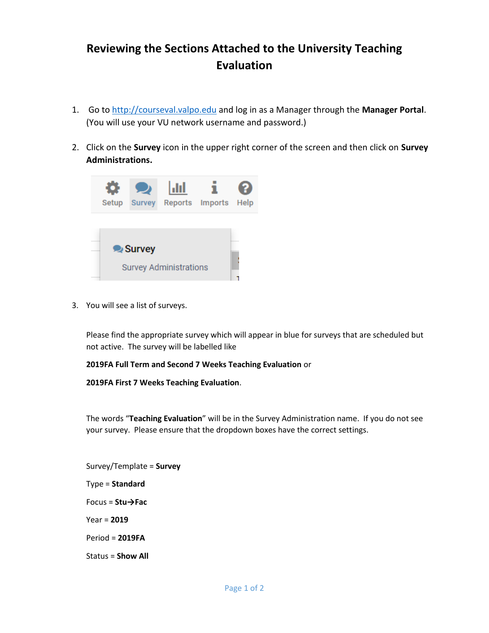## **Reviewing the Sections Attached to the University Teaching Evaluation**

- 1. Go to [http://courseval.valpo.edu](http://courseval.valpo.edu/) and log in as a Manager through the **Manager Portal**. (You will use your VU network username and password.)
- 2. Click on the **Survey** icon in the upper right corner of the screen and then click on **Survey Administrations.**



3. You will see a list of surveys.

Please find the appropriate survey which will appear in blue for surveys that are scheduled but not active. The survey will be labelled like

## **2019FA Full Term and Second 7 Weeks Teaching Evaluation** or

**2019FA First 7 Weeks Teaching Evaluation**.

The words "**Teaching Evaluation**" will be in the Survey Administration name. If you do not see your survey. Please ensure that the dropdown boxes have the correct settings.

Survey/Template = **Survey** Type = **Standard** Focus = **Stu→Fac** Year = **2019** Period = **2019FA** Status = **Show All**